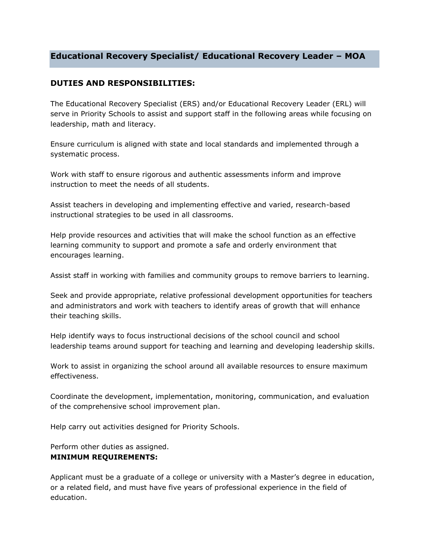# **Educational Recovery Specialist/ Educational Recovery Leader – MOA**

## **DUTIES AND RESPONSIBILITIES:**

The Educational Recovery Specialist (ERS) and/or Educational Recovery Leader (ERL) will serve in Priority Schools to assist and support staff in the following areas while focusing on leadership, math and literacy.

Ensure curriculum is aligned with state and local standards and implemented through a systematic process.

Work with staff to ensure rigorous and authentic assessments inform and improve instruction to meet the needs of all students.

Assist teachers in developing and implementing effective and varied, research-based instructional strategies to be used in all classrooms.

Help provide resources and activities that will make the school function as an effective learning community to support and promote a safe and orderly environment that encourages learning.

Assist staff in working with families and community groups to remove barriers to learning.

Seek and provide appropriate, relative professional development opportunities for teachers and administrators and work with teachers to identify areas of growth that will enhance their teaching skills.

Help identify ways to focus instructional decisions of the school council and school leadership teams around support for teaching and learning and developing leadership skills.

Work to assist in organizing the school around all available resources to ensure maximum effectiveness.

Coordinate the development, implementation, monitoring, communication, and evaluation of the comprehensive school improvement plan.

Help carry out activities designed for Priority Schools.

Perform other duties as assigned.

#### **MINIMUM REQUIREMENTS:**

Applicant must be a graduate of a college or university with a Master's degree in education, or a related field, and must have five years of professional experience in the field of education.